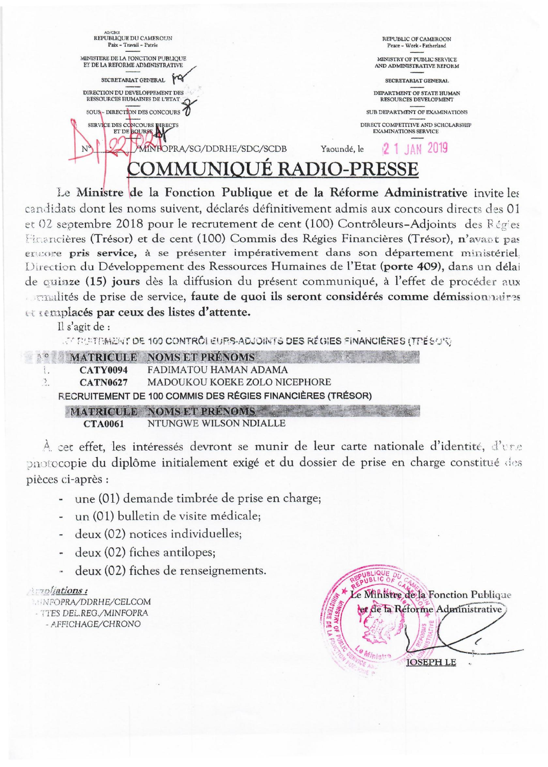AO/CBO REPUBLIQUE DU CAMEROUN REPUBLIC OF CAMEROON Peace - Work - Fatherland Paix - Travail - Patrie MINISTERE DE LA FONCTION PUBLIQUE<br>ET DE LA REFORME ADMINISTRATIVE MINISTRY OF PUBLIC SERVICE AND ADMINISTRATIVE REFORM SECRETARIAT GENERAL SECRETARIAT GENERAL DIRECTION DU DEVELOPPEMENT DES DEPARTMENT OF STATE HUMAN RESSOURCES HUMAINES DE L'ETAT RESOURCES DEVELOPMENT - DIRECTION DES CONCOURS SUB DEPARTMENT OF EXAMINATIONS SERVICE DES CONCOURS DIRECTS DIRECT COMPETITIVE AND SCHOLARSHIP **EXAMINATIONS SERVICE** 2 1 JAN 2019 MINFOPRA/SG/DDRHE/SDC/SCDB Yaoundé, le **DMMUNIOUÉ RADIO-PRESSE** 

Le Ministre de la Fonction Publique et de la Réforme Administrative invite les candidats dont les noms suivent, déclarés définitivement admis aux concours directs des 01 et 02 septembre 2018 pour le recrutement de cent (100) Contrôleurs-Adjoints des Régies Financières (Trésor) et de cent (100) Commis des Régies Financières (Trésor), n'avant pas encore pris service, à se présenter impérativement dans son département ministériel. Direction du Développement des Ressources Humaines de l'Etat (porte 409), dans un délai de quinze (15) jours dès la diffusion du présent communiqué, à l'effet de procéder aux commulités de prise de service, faute de quoi ils seront considérés comme démission naires et remplacés par ceux des listes d'attente.

Il s'agit de :

**A PUTEMENT DE 100 CONTRÔI EURS-ADJOINTS DES RÉGIES FINANCIÈRES (TPÉSON)** 

| $W$ .0 |                 | MATRICULE NOMS ET PRÉNOMS                                  |
|--------|-----------------|------------------------------------------------------------|
|        | <b>CATY0094</b> | FADIMATOU HAMAN ADAMA                                      |
|        | <b>CATN0627</b> | MADOUKOU KOEKE ZOLO NICEPHORE                              |
|        |                 | RECRUITEMENT DE 100 COMMIS DES RÉGIES FINANCIÈRES (TRÉSOR) |
|        |                 | MATRICULE NOMS ET PRÉNOMS                                  |
|        | <b>CTA0061</b>  | NTUNGWE WILSON NDIALLE                                     |

À cet effet, les intéressés devront se munir de leur carte nationale d'identité, d'une pnotocopie du diplôme initialement exigé et du dossier de prise en charge constitué des pièces ci-après :

- une (01) demande timbrée de prise en charge;
- un (01) bulletin de visite médicale;
- deux (02) notices individuelles;
- deux (02) fiches antilopes;
- deux (02) fiches de renseignements.  $\sim$

## *ampliations:*

MROPRA/DDRHE/CELCOM - TTES DEL.REG./MINFOPRA - AFFICHAGE/CHRONO

UBLIQUE UBLIC OF e Ministre de la Fonction Publique et de la Réforme Administrative Ministr9 **JOSEPH LE**